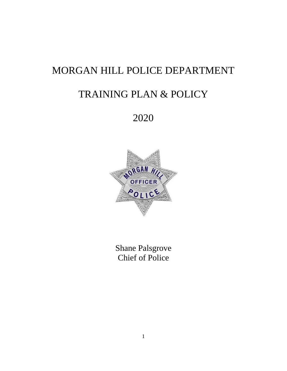# MORGAN HILL POLICE DEPARTMENT

# TRAINING PLAN & POLICY

2020



Shane Palsgrove Chief of Police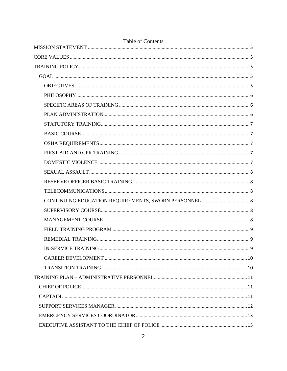| <b>Table of Contents</b>    |   |  |
|-----------------------------|---|--|
|                             |   |  |
|                             |   |  |
|                             |   |  |
|                             |   |  |
|                             |   |  |
|                             |   |  |
|                             |   |  |
|                             |   |  |
|                             |   |  |
|                             |   |  |
|                             |   |  |
|                             |   |  |
|                             |   |  |
|                             |   |  |
|                             |   |  |
|                             |   |  |
|                             |   |  |
|                             |   |  |
|                             |   |  |
|                             |   |  |
|                             |   |  |
| <b>IN-SERVICE TRAINING.</b> | q |  |
|                             |   |  |
|                             |   |  |
|                             |   |  |
|                             |   |  |
|                             |   |  |
|                             |   |  |
|                             |   |  |
|                             |   |  |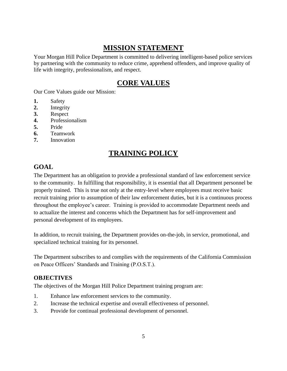# **MISSION STATEMENT**

<span id="page-4-0"></span>Your Morgan Hill Police Department is committed to delivering intelligent-based police services by partnering with the community to reduce crime, apprehend offenders, and improve quality of life with integrity, professionalism, and respect.

# **CORE VALUES**

<span id="page-4-1"></span>Our Core Values guide our Mission:

- **1.** Safety
- **2.** Integrity
- **3.** Respect
- **4.** Professionalism
- **5.** Pride
- **6.** Teamwork
- <span id="page-4-2"></span>**7.** Innovation

# **TRAINING POLICY**

# <span id="page-4-3"></span>**GOAL**

The Department has an obligation to provide a professional standard of law enforcement service to the community. In fulfilling that responsibility, it is essential that all Department personnel be properly trained. This is true not only at the entry-level where employees must receive basic recruit training prior to assumption of their law enforcement duties, but it is a continuous process throughout the employee's career. Training is provided to accommodate Department needs and to actualize the interest and concerns which the Department has for self-improvement and personal development of its employees.

In addition, to recruit training, the Department provides on-the-job, in service, promotional, and specialized technical training for its personnel.

The Department subscribes to and complies with the requirements of the California Commission on Peace Officers' Standards and Training (P.O.S.T.).

#### <span id="page-4-4"></span>**OBJECTIVES**

The objectives of the Morgan Hill Police Department training program are:

- 1. Enhance law enforcement services to the community.
- 2. Increase the technical expertise and overall effectiveness of personnel.
- 3. Provide for continual professional development of personnel.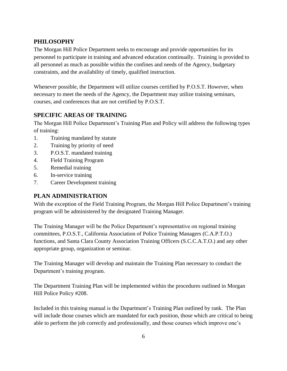# <span id="page-5-0"></span>**PHILOSOPHY**

The Morgan Hill Police Department seeks to encourage and provide opportunities for its personnel to participate in training and advanced education continually. Training is provided to all personnel as much as possible within the confines and needs of the Agency, budgetary constraints, and the availability of timely, qualified instruction.

Whenever possible, the Department will utilize courses certified by P.O.S.T. However, when necessary to meet the needs of the Agency, the Department may utilize training seminars, courses, and conferences that are not certified by P.O.S.T.

# <span id="page-5-1"></span>**SPECIFIC AREAS OF TRAINING**

The Morgan Hill Police Department's Training Plan and Policy will address the following types of training:

- 1. Training mandated by statute
- 2. Training by priority of need
- 3. P.O.S.T. mandated training
- 4. Field Training Program
- 5. Remedial training
- 6. In-service training
- 7. Career Development training

### <span id="page-5-2"></span>**PLAN ADMINISTRATION**

With the exception of the Field Training Program, the Morgan Hill Police Department's training program will be administered by the designated Training Manager.

The Training Manager will be the Police Department's representative on regional training committees, P.O.S.T., California Association of Police Training Managers (C.A.P.T.O.) functions, and Santa Clara County Association Training Officers (S.C.C.A.T.O.) and any other appropriate group, organization or seminar.

The Training Manager will develop and maintain the Training Plan necessary to conduct the Department's training program.

The Department Training Plan will be implemented within the procedures outlined in Morgan Hill Police Policy #208.

Included in this training manual is the Department's Training Plan outlined by rank. The Plan will include those courses which are mandated for each position, those which are critical to being able to perform the job correctly and professionally, and those courses which improve one's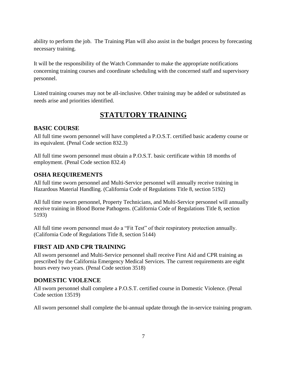ability to perform the job. The Training Plan will also assist in the budget process by forecasting necessary training.

It will be the responsibility of the Watch Commander to make the appropriate notifications concerning training courses and coordinate scheduling with the concerned staff and supervisory personnel.

<span id="page-6-0"></span>Listed training courses may not be all-inclusive. Other training may be added or substituted as needs arise and priorities identified.

# **STATUTORY TRAINING**

# <span id="page-6-1"></span>**BASIC COURSE**

All full time sworn personnel will have completed a P.O.S.T. certified basic academy course or its equivalent. (Penal Code section 832.3)

All full time sworn personnel must obtain a P.O.S.T. basic certificate within 18 months of employment. (Penal Code section 832.4)

# <span id="page-6-2"></span>**OSHA REQUIREMENTS**

All full time sworn personnel and Multi-Service personnel will annually receive training in Hazardous Material Handling. (California Code of Regulations Title 8, section 5192)

All full time sworn personnel, Property Technicians, and Multi-Service personnel will annually receive training in Blood Borne Pathogens. (California Code of Regulations Title 8, section 5193)

All full time sworn personnel must do a "Fit Test" of their respiratory protection annually. (California Code of Regulations Title 8, section 5144)

### <span id="page-6-3"></span>**FIRST AID AND CPR TRAINING**

All sworn personnel and Multi-Service personnel shall receive First Aid and CPR training as prescribed by the California Emergency Medical Services. The current requirements are eight hours every two years. (Penal Code section 3518)

### <span id="page-6-4"></span>**DOMESTIC VIOLENCE**

All sworn personnel shall complete a P.O.S.T. certified course in Domestic Violence. (Penal Code section 13519)

All sworn personnel shall complete the bi-annual update through the in-service training program.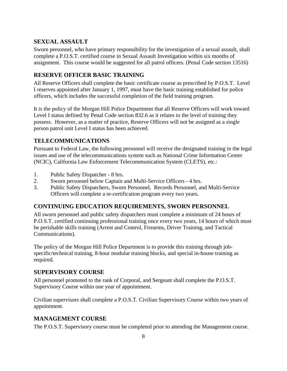### <span id="page-7-0"></span>**SEXUAL ASSAULT**

Sworn personnel, who have primary responsibility for the investigation of a sexual assault, shall complete a P.O.S.T. certified course in Sexual Assault Investigation within six months of assignment. This course would be suggested for all patrol officers. (Penal Code section 13516)

# <span id="page-7-1"></span>**RESERVE OFFICER BASIC TRAINING**

All Reserve Officers shall complete the basic certificate course as prescribed by P.O.S.T. Level I reserves appointed after January 1, 1997, must have the basic training established for police officers, which includes the successful completion of the field training program.

It is the policy of the Morgan Hill Police Department that all Reserve Officers will work toward Level I status defined by Penal Code section 832.6 as it relates to the level of training they possess. However, as a matter of practice, Reserve Officers will not be assigned as a single person patrol unit Level I status has been achieved.

### <span id="page-7-2"></span>**TELECOMMUNICATIONS**

Pursuant to Federal Law, the following personnel will receive the designated training in the legal issues and use of the telecommunications system such as National Crime Information Center (NCIC), California Law Enforcement Telecommunication System (CLETS), etc.:

- 1. Public Safety Dispatcher 8 hrs.
- 2. Sworn personnel below Captain and Multi-Service Officers 4 hrs.
- 3. Public Safety Dispatchers, Sworn Personnel, Records Personnel, and Multi-Service Officers will complete a re-certification program every two years.

### <span id="page-7-3"></span>**CONTINUING EDUCATION REQUIREMENTS, SWORN PERSONNEL**

All sworn personnel and public safety dispatchers must complete a minimum of 24 hours of P.O.S.T. certified continuing professional training once every two years, 14 hours of which must be perishable skills training (Arrest and Control, Firearms, Driver Training, and Tactical Communications).

The policy of the Morgan Hill Police Department is to provide this training through jobspecific/technical training, 8-hour modular training blocks, and special in-house training as required.

### <span id="page-7-4"></span>**SUPERVISORY COURSE**

All personnel promoted to the rank of Corporal, and Sergeant shall complete the P.O.S.T. Supervisory Course within one year of appointment.

Civilian supervisors shall complete a P.O.S.T. Civilian Supervisory Course within two years of appointment.

### <span id="page-7-5"></span>**MANAGEMENT COURSE**

The P.O.S.T. Supervisory course must be completed prior to attending the Management course.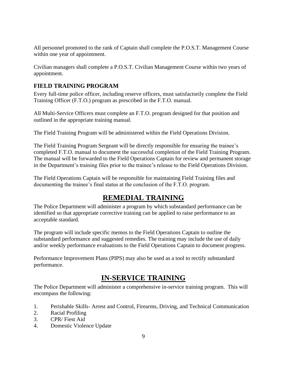All personnel promoted to the rank of Captain shall complete the P.O.S.T. Management Course within one year of appointment.

Civilian managers shall complete a P.O.S.T. Civilian Management Course within two years of appointment.

# <span id="page-8-0"></span>**FIELD TRAINING PROGRAM**

Every full-time police officer, including reserve officers, must satisfactorily complete the Field Training Officer (F.T.O.) program as prescribed in the F.T.O. manual.

All Multi-Service Officers must complete an F.T.O. program designed for that position and outlined in the appropriate training manual.

The Field Training Program will be administered within the Field Operations Division.

The Field Training Program Sergeant will be directly responsible for ensuring the trainee's completed F.T.O. manual to document the successful completion of the Field Training Program. The manual will be forwarded to the Field Operations Captain for review and permanent storage in the Department's training files prior to the trainee's release to the Field Operations Division.

<span id="page-8-1"></span>The Field Operations Captain will be responsible for maintaining Field Training files and documenting the trainee's final status at the conclusion of the F.T.O. program.

# **REMEDIAL TRAINING**

The Police Department will administer a program by which substandard performance can be identified so that appropriate corrective training can be applied to raise performance to an acceptable standard.

The program will include specific memos to the Field Operations Captain to outline the substandard performance and suggested remedies. The training may include the use of daily and/or weekly performance evaluations to the Field Operations Captain to document progress.

<span id="page-8-2"></span>Performance Improvement Plans (PIPS) may also be used as a tool to rectify substandard performance.

# **IN-SERVICE TRAINING**

The Police Department will administer a comprehensive in-service training program. This will encompass the following:

- 1. Perishable Skills- Arrest and Control, Firearms, Driving, and Technical Communication
- 2. Racial Profiling
- 3. CPR/ Fiest Aid
- 4. Domestic Violence Update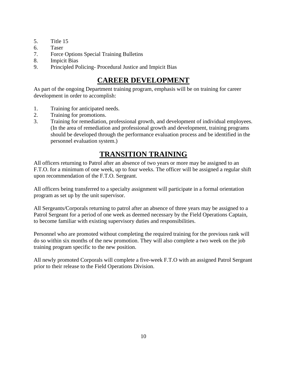- 5. Title 15
- 6. Taser
- 7. Force Options Special Training Bulletins
- 8. Impicit Bias
- <span id="page-9-0"></span>9. Principled Policing- Procedural Justice and Impicit Bias

# **CAREER DEVELOPMENT**

As part of the ongoing Department training program, emphasis will be on training for career development in order to accomplish:

- 1. Training for anticipated needs.
- 2. Training for promotions.
- 3. Training for remediation, professional growth, and development of individual employees. (In the area of remediation and professional growth and development, training programs should be developed through the performance evaluation process and be identified in the personnel evaluation system.)

# **TRANSITION TRAINING**

<span id="page-9-1"></span>All officers returning to Patrol after an absence of two years or more may be assigned to an F.T.O. for a minimum of one week, up to four weeks. The officer will be assigned a regular shift upon recommendation of the F.T.O. Sergeant.

All officers being transferred to a specialty assignment will participate in a formal orientation program as set up by the unit supervisor.

All Sergeants/Corporals returning to patrol after an absence of three years may be assigned to a Patrol Sergeant for a period of one week as deemed necessary by the Field Operations Captain, to become familiar with existing supervisory duties and responsibilities.

Personnel who are promoted without completing the required training for the previous rank will do so within six months of the new promotion. They will also complete a two week on the job training program specific to the new position.

All newly promoted Corporals will complete a five-week F.T.O with an assigned Patrol Sergeant prior to their release to the Field Operations Division.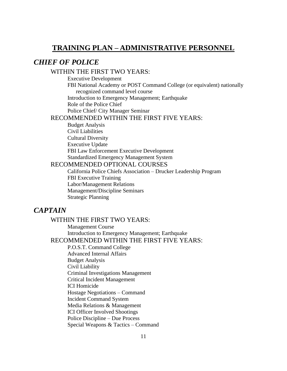# <span id="page-10-0"></span>**TRAINING PLAN – ADMINISTRATIVE PERSONNEL**

# <span id="page-10-1"></span>*CHIEF OF POLICE*

#### WITHIN THE FIRST TWO YEARS:

Executive Development

FBI National Academy or POST Command College (or equivalent) nationally recognized command level course

Introduction to Emergency Management; Earthquake

Role of the Police Chief

Police Chief/ City Manager Seminar

#### RECOMMENDED WITHIN THE FIRST FIVE YEARS:

Budget Analysis Civil Liabilities Cultural Diversity Executive Update FBI Law Enforcement Executive Development Standardized Emergency Management System

#### RECOMMENDED OPTIONAL COURSES

 California Police Chiefs Association – Drucker Leadership Program FBI Executive Training Labor/Management Relations Management/Discipline Seminars Strategic Planning

# <span id="page-10-2"></span>*CAPTAIN*

#### WITHIN THE FIRST TWO YEARS:

Management Course Introduction to Emergency Management; Earthquake

# RECOMMENDED WITHIN THE FIRST FIVE YEARS:

P.O.S.T. Command College Advanced Internal Affairs Budget Analysis Civil Liability Criminal Investigations Management Critical Incident Management ICI Homicide Hostage Negotiations – Command Incident Command System Media Relations & Management ICI Officer Involved Shootings Police Discipline – Due Process Special Weapons & Tactics – Command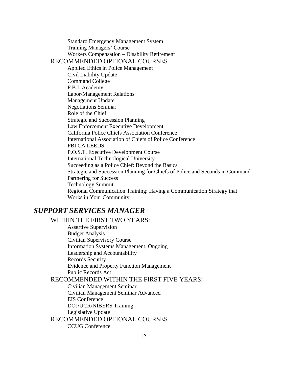Standard Emergency Management System Training Managers' Course Workers Compensation – Disability Retirement RECOMMENDED OPTIONAL COURSES Applied Ethics in Police Management Civil Liability Update Command College F.B.I. Academy Labor/Management Relations Management Update Negotiations Seminar Role of the Chief Strategic and Succession Planning Law Enforcement Executive Development California Police Chiefs Association Conference International Association of Chiefs of Police Conference FBI CA LEEDS P.O.S.T. Executive Development Course International Technological University Succeeding as a Police Chief: Beyond the Basics Strategic and Succession Planning for Chiefs of Police and Seconds in Command Partnering for Success Technology Summit Regional Communication Training: Having a Communication Strategy that Works in Your Community

# <span id="page-11-0"></span>*SUPPORT SERVICES MANAGER*

WITHIN THE FIRST TWO YEARS: Assertive Supervision Budget Analysis Civilian Supervisory Course Information Systems Management, Ongoing Leadership and Accountability Records Security Evidence and Property Function Management Public Records Act RECOMMENDED WITHIN THE FIRST FIVE YEARS: Civilian Management Seminar Civilian Management Seminar Advanced EIS Conference DOJ/UCR/NIBERS Training Legislative Update RECOMMENDED OPTIONAL COURSES CCUG Conference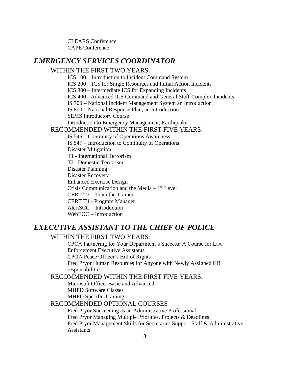CLEARS Conference CAPE Conference

### <span id="page-12-0"></span>*EMERGENCY SERVICES COORDINATOR*

#### WITHIN THE FIRST TWO YEARS:

ICS 100 – Introduction to Incident Command System

ICS 200 – ICS for Single Resources and Initial Action Incidents

ICS 300 – Intermediate ICS for Expanding Incidents

ICS 400 - Advanced ICS Command and General Staff-Complex Incidents

IS 700 – National Incident Management System an Introduction

IS 800 – National Response Plan, an Introduction

SEMS Introductory Course

Introduction to Emergency Management; Earthquake

#### RECOMMENDED WITHIN THE FIRST FIVE YEARS:

IS 546 – Continuity of Operations Awareness IS 547 – Introduction to Continuity of Operations Disaster Mitigation T1 - International Terrorism T2 –Domestic Terrorism Disaster Planning Disaster Recovery Enhanced Exercise Design Crisis Communication and the Media  $-1<sup>st</sup>$  Level CERT T3 – Train the Trainer CERT T4 - Program Manager AlertSCC – Introduction WebEOC – Introduction

# <span id="page-12-1"></span>*EXECUTIVE ASSISTANT TO THE CHIEF OF POLICE*

#### WITHIN THE FIRST TWO YEARS:

CPCA Partnering for Your Department's Success: A Course for Law Enforcement Executive Assistants CPOA Peace Officer's Bill of Rights Fred Pryor Human Resources for Anyone with Newly Assigned HR responsibilities

RECOMMENDED WITHIN THE FIRST FIVE YEARS:

Microsoft Office, Basic and Advanced MHPD Software Classes MHPD Specific Training

#### RECOMMENDED OPTIONAL COURSES

 Fred Pryor Succeeding as an Administrative Professional Fred Pryor Managing Multiple Priorities, Projects & Deadlines Fred Pryor Management Skills for Secretaries Support Staff & Administrative Assistants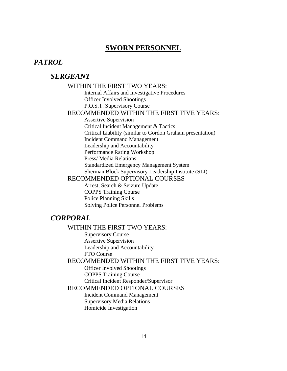# **SWORN PERSONNEL**

### <span id="page-13-2"></span><span id="page-13-1"></span><span id="page-13-0"></span>*PATROL*

# *SERGEANT*

#### WITHIN THE FIRST TWO YEARS:

Internal Affairs and Investigative Procedures Officer Involved Shootings P.O.S.T. Supervisory Course

#### RECOMMENDED WITHIN THE FIRST FIVE YEARS:

Assertive Supervision Critical Incident Management & Tactics Critical Liability (similar to Gordon Graham presentation) Incident Command Management Leadership and Accountability Performance Rating Workshop Press/ Media Relations Standardized Emergency Management System Sherman Block Supervisory Leadership Institute (SLI) RECOMMENDED OPTIONAL COURSES

Arrest, Search & Seizure Update COPPS Training Course

Police Planning Skills Solving Police Personnel Problems

# <span id="page-13-3"></span>*CORPORAL*

#### WITHIN THE FIRST TWO YEARS:

Supervisory Course Assertive Supervision Leadership and Accountability FTO Course

RECOMMENDED WITHIN THE FIRST FIVE YEARS:

Officer Involved Shootings COPPS Training Course Critical Incident Responder/Supervisor

RECOMMENDED OPTIONAL COURSES

Incident Command Management Supervisory Media Relations Homicide Investigation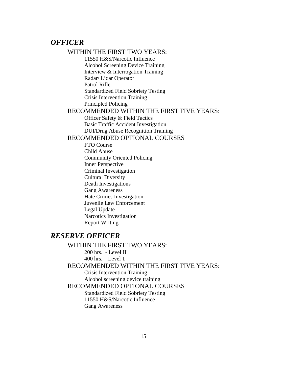### <span id="page-14-0"></span>*OFFICER*

# WITHIN THE FIRST TWO YEARS:

11550 H&S/Narcotic Influence Alcohol Screening Device Training Interview & Interrogation Training Radar/ Lidar Operator Patrol Rifle Standardized Field Sobriety Testing Crisis Intervention Training Principled Policing

#### RECOMMENDED WITHIN THE FIRST FIVE YEARS:

Officer Safety & Field Tactics Basic Traffic Accident Investigation DUI/Drug Abuse Recognition Training

#### RECOMMENDED OPTIONAL COURSES

FTO Course Child Abuse Community Oriented Policing Inner Perspective Criminal Investigation Cultural Diversity Death Investigations Gang Awareness Hate Crimes Investigation Juvenile Law Enforcement Legal Update Narcotics Investigation Report Writing

# <span id="page-14-1"></span>*RESERVE OFFICER*

WITHIN THE FIRST TWO YEARS: 200 hrs. - Level II 400 hrs. – Level 1 RECOMMENDED WITHIN THE FIRST FIVE YEARS: Crisis Intervention Training Alcohol screening device training RECOMMENDED OPTIONAL COURSES Standardized Field Sobriety Testing 11550 H&S/Narcotic Influence Gang Awareness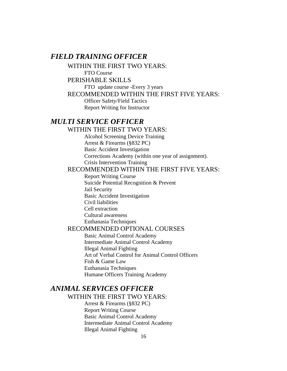# <span id="page-15-0"></span>*FIELD TRAINING OFFICER*

WITHIN THE FIRST TWO YEARS:

FTO Course

#### PERISHABLE SKILLS

FTO update course -Every 3 years

#### RECOMMENDED WITHIN THE FIRST FIVE YEARS:

<span id="page-15-1"></span>Officer Safety/Field Tactics Report Writing for Instructor

# *MULTI SERVICE OFFICER*

#### WITHIN THE FIRST TWO YEARS:

Alcohol Screening Device Training Arrest & Firearms (§832 PC) Basic Accident Investigation Corrections Academy (within one year of assignment). Crisis Intervention Training

### RECOMMENDED WITHIN THE FIRST FIVE YEARS:

Report Writing Course Suicide Potential Recognition & Prevent Jail Security Basic Accident Investigation Civil liabilities Cell extraction Cultural awareness Euthanasia Techniques

#### RECOMMENDED OPTIONAL COURSES

Basic Animal Control Academy Intermediate Animal Control Academy Illegal Animal Fighting Art of Verbal Control for Animal Control Officers Fish & Game Law Euthanasia Techniques Humane Officers Training Academy

# *ANIMAL SERVICES OFFICER*

WITHIN THE FIRST TWO YEARS:

Arrest & Firearms (§832 PC) Report Writing Course Basic Animal Control Academy Intermediate Animal Control Academy Illegal Animal Fighting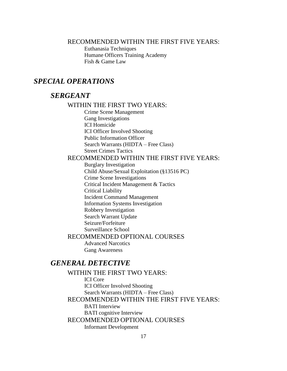#### RECOMMENDED WITHIN THE FIRST FIVE YEARS:

Euthanasia Techniques Humane Officers Training Academy Fish & Game Law

# <span id="page-16-1"></span><span id="page-16-0"></span>*SPECIAL OPERATIONS*

# *SERGEANT*

#### WITHIN THE FIRST TWO YEARS:

Crime Scene Management Gang Investigations ICI Homicide ICI Officer Involved Shooting Public Information Officer Search Warrants (HIDTA – Free Class) Street Crimes Tactics

### RECOMMENDED WITHIN THE FIRST FIVE YEARS:

Burglary Investigation Child Abuse/Sexual Exploitation (§13516 PC) Crime Scene Investigations Critical Incident Management & Tactics Critical Liability Incident Command Management Information Systems Investigation Robbery Investigation Search Warrant Update Seizure/Forfeiture Surveillance School

# RECOMMENDED OPTIONAL COURSES

Advanced Narcotics Gang Awareness

# <span id="page-16-2"></span>*GENERAL DETECTIVE*

WITHIN THE FIRST TWO YEARS: ICI Core ICI Officer Involved Shooting Search Warrants (HIDTA – Free Class) RECOMMENDED WITHIN THE FIRST FIVE YEARS: BATI Interview BATI cognitive Interview RECOMMENDED OPTIONAL COURSES Informant Development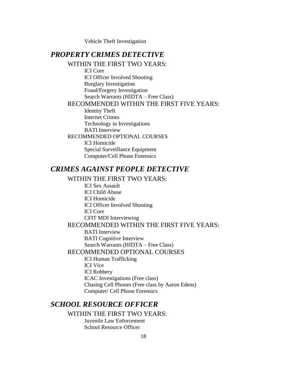Vehicle Theft Investigation

# <span id="page-17-0"></span>*PROPERTY CRIMES DETECTIVE*

WITHIN THE FIRST TWO YEARS: ICI Core ICI Officer Involved Shooting Burglary Investigation Fraud/Forgery Investigation Search Warrants (HIDTA – Free Class) RECOMMENDED WITHIN THE FIRST FIVE YEARS: Identity Theft Internet Crimes Technology in Investigations BATI Interview RECOMMENDED OPTIONAL COURSES ICI Homicide Special Surveillance Equipment Computer/Cell Phone Forensics

# <span id="page-17-1"></span>*CRIMES AGAINST PEOPLE DETECTIVE*

#### WITHIN THE FIRST TWO YEARS:

ICI Sex Assault ICI Child Abuse ICI Homicide ICI Officer Involved Shooting ICI Core CFIT MDI Interviewing RECOMMENDED WITHIN THE FIRST FIVE YEARS: BATI Interview BATI Cognitive Interview Search Warrants (HIDTA – Free Class) RECOMMENDED OPTIONAL COURSES ICI Human Trafficking ICI Vice ICI Robbery ICAC Investigations (Free class) Chasing Cell Phones (Free class by Aaron Edens)

# <span id="page-17-2"></span>*SCHOOL RESOURCE OFFICER*

#### WITHIN THE FIRST TWO YEARS:

Computer/ Cell Phone Forensics

Juvenile Law Enforcement School Resource Officer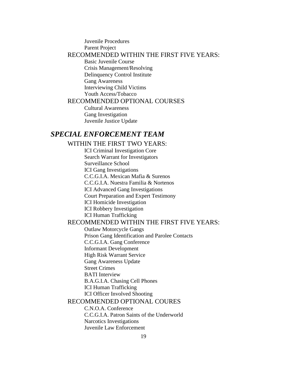#### Juvenile Procedures Parent Project RECOMMENDED WITHIN THE FIRST FIVE YEARS:

Basic Juvenile Course Crisis Management/Resolving Delinquency Control Institute Gang Awareness Interviewing Child Victims Youth Access/Tobacco

#### RECOMMENDED OPTIONAL COURSES

Cultural Awareness Gang Investigation Juvenile Justice Update

## <span id="page-18-0"></span>*SPECIAL ENFORCEMENT TEAM*

#### WITHIN THE FIRST TWO YEARS:

ICI Criminal Investigation Core Search Warrant for Investigators Surveillance School ICI Gang Investigations C.C.G.I.A. Mexican Mafia & Surenos C.C.G.I.A. Nuestra Familia & Nortenos ICI Advanced Gang Investigations Court Preparation and Expert Testimony ICI Homicide Investigation ICI Robbery Investigation

ICI Human Trafficking

#### RECOMMENDED WITHIN THE FIRST FIVE YEARS:

Outlaw Motorcycle Gangs Prison Gang Identification and Parolee Contacts

C.C.G.I.A. Gang Conference

Informant Development

High Risk Warrant Service

Gang Awareness Update

Street Crimes

BATI Interview

B.A.G.I.A. Chasing Cell Phones

ICI Human Trafficking

ICI Officer Involved Shooting

#### RECOMMENDED OPTIONAL COURES

C.N.O.A. Conference

C.C.G.I.A. Patron Saints of the Underworld Narcotics Investigations Juvenile Law Enforcement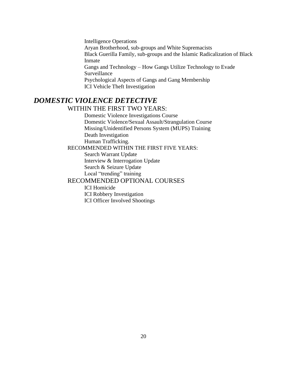Intelligence Operations Aryan Brotherhood, sub-groups and White Supremacists Black Guerilla Family, sub-groups and the Islamic Radicalization of Black Inmate Gangs and Technology – How Gangs Utilize Technology to Evade Surveillance Psychological Aspects of Gangs and Gang Membership ICI Vehicle Theft Investigation

# *DOMESTIC VIOLENCE DETECTIVE* WITHIN THE FIRST TWO YEARS:

Domestic Violence Investigations Course

 Domestic Violence/Sexual Assault/Strangulation Course Missing/Unidentified Persons System (MUPS) Training Death Investigation Human Trafficking.

RECOMMENDED WITHIN THE FIRST FIVE YEARS:

 Search Warrant Update Interview & Interrogation Update Search & Seizure Update Local "trending" training

#### RECOMMENDED OPTIONAL COURSES

ICI Homicide ICI Robbery Investigation ICI Officer Involved Shootings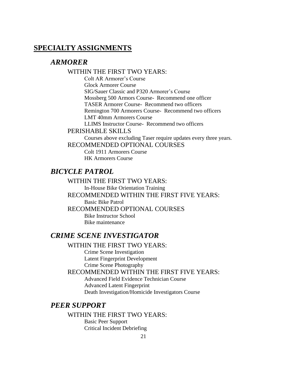# <span id="page-20-1"></span><span id="page-20-0"></span>**SPECIALTY ASSIGNMENTS**

# *ARMORER*

### WITHIN THE FIRST TWO YEARS:

Colt AR Armorer's Course Glock Armorer Course SIG/Sauer Classic and P320 Armorer's Course Mossberg 500 Armors Course- Recommend one officer TASER Armorer Course- Recommend two officers Remington 700 Armorers Course- Recommend two officers LMT 40mm Armorers Course LLIMS Instructor Course- Recommend two officers

# PERISHABLE SKILLS

Courses above excluding Taser require updates every three years. RECOMMENDED OPTIONAL COURSES

Colt 1911 Armorers Course HK Armorers Course

# <span id="page-20-2"></span>*BICYCLE PATROL*

# WITHIN THE FIRST TWO YEARS: In-House Bike Orientation Training RECOMMENDED WITHIN THE FIRST FIVE YEARS:

Basic Bike Patrol

RECOMMENDED OPTIONAL COURSES

Bike Instructor School Bike maintenance

# <span id="page-20-3"></span>*CRIME SCENE INVESTIGATOR*

# WITHIN THE FIRST TWO YEARS:

Crime Scene Investigation Latent Fingerprint Development Crime Scene Photography

RECOMMENDED WITHIN THE FIRST FIVE YEARS:

Advanced Field Evidence Technician Course Advanced Latent Fingerprint Death Investigation/Homicide Investigators Course

# <span id="page-20-4"></span>*PEER SUPPORT*

#### WITHIN THE FIRST TWO YEARS:

Basic Peer Support Critical Incident Debriefing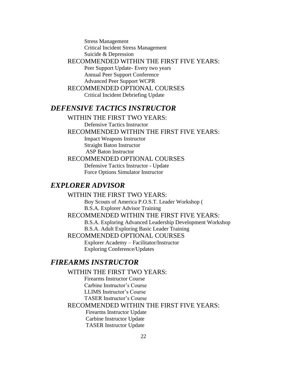Stress Management Critical Incident Stress Management Suicide & Depression

#### RECOMMENDED WITHIN THE FIRST FIVE YEARS:

Peer Support Update- Every two years Annual Peer Support Conference Advanced Peer Support WCPR

# RECOMMENDED OPTIONAL COURSES

Critical Incident Debriefing Update

# <span id="page-21-0"></span>*DEFENSIVE TACTICS INSTRUCTOR*

WITHIN THE FIRST TWO YEARS:

Defensive Tactics Instructor

RECOMMENDED WITHIN THE FIRST FIVE YEARS:

Impact Weapons Instructor Straight Baton Instructor ASP Baton Instructor

#### RECOMMENDED OPTIONAL COURSES

Defensive Tactics Instructor - Update Force Options Simulator Instructor

# <span id="page-21-1"></span>*EXPLORER ADVISOR*

#### WITHIN THE FIRST TWO YEARS:

Boy Scouts of America P.O.S.T. Leader Workshop ( B.S.A. Explorer Advisor Training

#### RECOMMENDED WITHIN THE FIRST FIVE YEARS:

B.S.A. Exploring Advanced Leadership Development Workshop

B.S.A. Adult Exploring Basic Leader Training

### RECOMMENDED OPTIONAL COURSES

Explorer Academy – Facilitator/Instructor Exploring Conference/Updates

# <span id="page-21-2"></span>*FIREARMS INSTRUCTOR*

WITHIN THE FIRST TWO YEARS:

Firearms Instructor Course

Carbine Instructor's Course

LLIMS Instructor's Course

TASER Instructor's Course

### RECOMMENDED WITHIN THE FIRST FIVE YEARS:

 Firearms Instructor Update Carbine Instructor Update TASER Instructor Update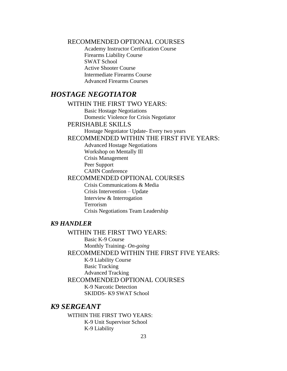RECOMMENDED OPTIONAL COURSES

Academy Instructor Certification Course Firearms Liability Course SWAT School Active Shooter Course Intermediate Firearms Course Advanced Firearms Courses

# <span id="page-22-0"></span>*HOSTAGE NEGOTIATOR*

#### WITHIN THE FIRST TWO YEARS:

Basic Hostage Negotiations Domestic Violence for Crisis Negotiator

#### PERISHABLE SKILLS

Hostage Negotiator Update- Every two years

### RECOMMENDED WITHIN THE FIRST FIVE YEARS:

Advanced Hostage Negotiations Workshop on Mentally Ill Crisis Management Peer Support CAHN Conference

#### RECOMMENDED OPTIONAL COURSES

Crisis Communications & Media Crisis Intervention – Update Interview & Interrogation Terrorism Crisis Negotiations Team Leadership

### <span id="page-22-1"></span>*K9 HANDLER*

#### WITHIN THE FIRST TWO YEARS:

Basic K-9 Course Monthly Training- *On-going*

RECOMMENDED WITHIN THE FIRST FIVE YEARS:

K-9 Liability Course Basic Tracking Advanced Tracking

RECOMMENDED OPTIONAL COURSES

K-9 Narcotic Detection SKIDDS- K9 SWAT School

# <span id="page-22-2"></span>*K9 SERGEANT*

WITHIN THE FIRST TWO YEARS: K-9 Unit Supervisor School K-9 Liability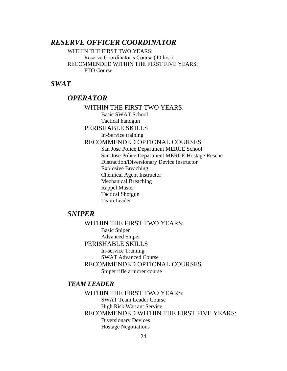# <span id="page-23-0"></span>*RESERVE OFFICER COORDINATOR*

WITHIN THE FIRST TWO YEARS: Reserve Coordinator's Course (40 hrs.) RECOMMENDED WITHIN THE FIRST FIVE YEARS: FTO Course

# <span id="page-23-2"></span><span id="page-23-1"></span>*SWAT*

# *OPERATOR*

WITHIN THE FIRST TWO YEARS: Basic SWAT School Tactical handgun PERISHABLE SKILLS In-Service training RECOMMENDED OPTIONAL COURSES San Jose Police Department MERGE School San Jose Police Department MERGE Hostage Rescue Distraction/Diversionary Device Instructor Explosive Breaching Chemical Agent Instructor Mechanical Breaching Rappel Master Tactical Shotgun Team Leader

# <span id="page-23-3"></span>*SNIPER*

WITHIN THE FIRST TWO YEARS: Basic Sniper Advanced Sniper PERISHABLE SKILLS In-service Training SWAT Advanced Course RECOMMENDED OPTIONAL COURSES Sniper rifle armorer course

#### <span id="page-23-4"></span>*TEAM LEADER*

WITHIN THE FIRST TWO YEARS: SWAT Team Leader Course High Risk Warrant Service RECOMMENDED WITHIN THE FIRST FIVE YEARS: Diversionary Devices Hostage Negotiations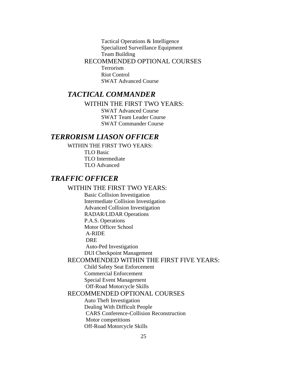Tactical Operations & Intelligence Specialized Surveillance Equipment Team Building RECOMMENDED OPTIONAL COURSES Terrorism Riot Control

SWAT Advanced Course

# <span id="page-24-0"></span>*TACTICAL COMMANDER*

WITHIN THE FIRST TWO YEARS:

SWAT Advanced Course SWAT Team Leader Course SWAT Commander Course

# <span id="page-24-1"></span>*TERRORISM LIASON OFFICER*

WITHIN THE FIRST TWO YEARS: TLO Basic TLO Intermediate TLO Advanced

# <span id="page-24-2"></span>*TRAFFIC OFFICER*

#### WITHIN THE FIRST TWO YEARS:

Basic Collision Investigation Intermediate Collision Investigation Advanced Collision Investigation RADAR/LIDAR Operations P.A.S. Operations Motor Officer School A-RIDE DRE Auto-Ped Investigation DUI Checkpoint Management

### RECOMMENDED WITHIN THE FIRST FIVE YEARS:

Child Safety Seat Enforcement Commercial Enforcement Special Event Management Off-Road Motorcycle Skills

#### RECOMMENDED OPTIONAL COURSES

Auto Theft Investigation Dealing With Difficult People CARS Conference-Collision Reconstruction Motor competitions Off-Road Motorcycle Skills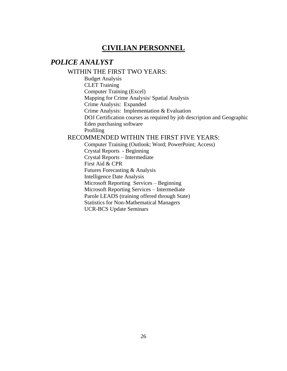# **CIVILIAN PERSONNEL**

# <span id="page-25-1"></span><span id="page-25-0"></span>*POLICE ANALYST*

#### WITHIN THE FIRST TWO YEARS:

Budget Analysis CLET Training Computer Training (Excel) Mapping for Crime Analysis/ Spatial Analysis Crime Analysis: Expanded Crime Analysis: Implementation & Evaluation DOJ Certification courses as required by job description and Geographic Eden purchasing software Profiling

## RECOMMENDED WITHIN THE FIRST FIVE YEARS:

Computer Training (Outlook; Word; PowerPoint; Access) Crystal Reports - Beginning Crystal Reports – Intermediate First Aid & CPR Futures Forecasting & Analysis Intelligence Date Analysis Microsoft Reporting Services – Beginning Microsoft Reporting Services – Intermediate Parole LEADS (training offered through State) Statistics for Non-Mathematical Managers UCR-BCS Update Seminars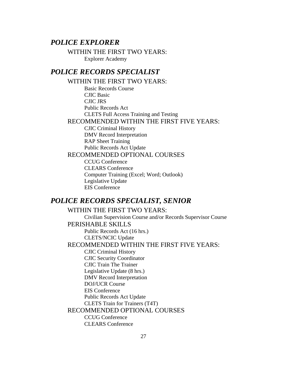# <span id="page-26-0"></span>*POLICE EXPLORER*

WITHIN THE FIRST TWO YEARS: Explorer Academy

# <span id="page-26-1"></span>*POLICE RECORDS SPECIALIST*

WITHIN THE FIRST TWO YEARS: Basic Records Course CJIC Basic CJIC JRS Public Records Act CLETS Full Access Training and Testing RECOMMENDED WITHIN THE FIRST FIVE YEARS: CJIC Criminal History DMV Record Interpretation RAP Sheet Training Public Records Act Update RECOMMENDED OPTIONAL COURSES CCUG Conference CLEARS Conference Computer Training (Excel; Word; Outlook) Legislative Update EIS Conference

## <span id="page-26-2"></span>*POLICE RECORDS SPECIALIST, SENIOR*

WITHIN THE FIRST TWO YEARS: Civilian Supervision Course and/or Records Supervisor Course PERISHABLE SKILLS Public Records Act (16 hrs.) CLETS/NCIC Update RECOMMENDED WITHIN THE FIRST FIVE YEARS: CJIC Criminal History CJIC Security Coordinator CJIC Train The Trainer Legislative Update (8 hrs.) DMV Record Interpretation DOJ/UCR Course EIS Conference Public Records Act Update CLETS Train for Trainers (T4T) RECOMMENDED OPTIONAL COURSES CCUG Conference CLEARS Conference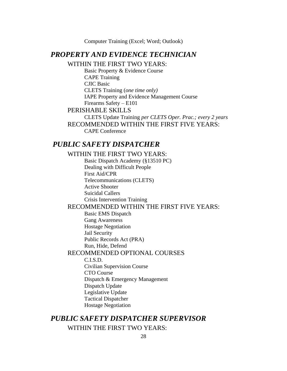Computer Training (Excel; Word; Outlook)

# <span id="page-27-0"></span>*PROPERTY AND EVIDENCE TECHNICIAN*

WITHIN THE FIRST TWO YEARS:

Basic Property & Evidence Course CAPE Training CJIC Basic CLETS Training (*one time only)* IAPE Property and Evidence Management Course Firearms Safety – E101 PERISHABLE SKILLS

CLETS Update Training *per CLETS Oper. Prac.; every 2 years* RECOMMENDED WITHIN THE FIRST FIVE YEARS: CAPE Conference

# <span id="page-27-1"></span>*PUBLIC SAFETY DISPATCHER*

# WITHIN THE FIRST TWO YEARS:

Basic Dispatch Academy (§13510 PC) Dealing with Difficult People First Aid/CPR Telecommunications (CLETS) Active Shooter Suicidal Callers Crisis Intervention Training

# RECOMMENDED WITHIN THE FIRST FIVE YEARS:

Basic EMS Dispatch Gang Awareness Hostage Negotiation

Jail Security

Public Records Act (PRA)

Run, Hide, Defend

## RECOMMENDED OPTIONAL COURSES

C.I.S.D.

Civilian Supervision Course CTO Course Dispatch & Emergency Management Dispatch Update Legislative Update Tactical Dispatcher Hostage Negotiation

# <span id="page-27-2"></span>*PUBLIC SAFETY DISPATCHER SUPERVISOR*

# WITHIN THE FIRST TWO YEARS: